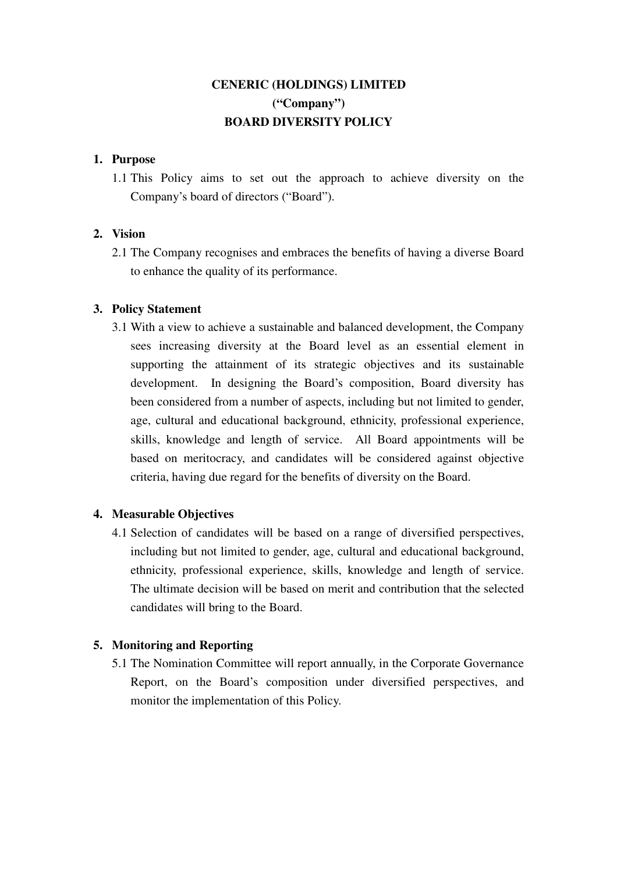# **CENERIC (HOLDINGS) LIMITED ("Company") BOARD DIVERSITY POLICY**

#### **1. Purpose**

1.1 This Policy aims to set out the approach to achieve diversity on the Company's board of directors ("Board").

## **2. Vision**

2.1 The Company recognises and embraces the benefits of having a diverse Board to enhance the quality of its performance.

## **3. Policy Statement**

3.1 With a view to achieve a sustainable and balanced development, the Company sees increasing diversity at the Board level as an essential element in supporting the attainment of its strategic objectives and its sustainable development. In designing the Board's composition, Board diversity has been considered from a number of aspects, including but not limited to gender, age, cultural and educational background, ethnicity, professional experience, skills, knowledge and length of service. All Board appointments will be based on meritocracy, and candidates will be considered against objective criteria, having due regard for the benefits of diversity on the Board.

#### **4. Measurable Objectives**

4.1 Selection of candidates will be based on a range of diversified perspectives, including but not limited to gender, age, cultural and educational background, ethnicity, professional experience, skills, knowledge and length of service. The ultimate decision will be based on merit and contribution that the selected candidates will bring to the Board.

# **5. Monitoring and Reporting**

5.1 The Nomination Committee will report annually, in the Corporate Governance Report, on the Board's composition under diversified perspectives, and monitor the implementation of this Policy.